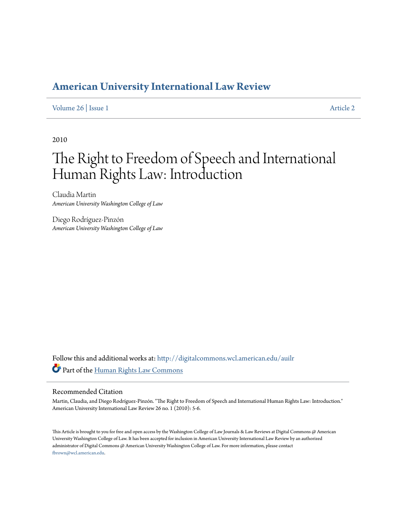## **[American University International Law Review](http://digitalcommons.wcl.american.edu/auilr?utm_source=digitalcommons.wcl.american.edu%2Fauilr%2Fvol26%2Fiss1%2F2&utm_medium=PDF&utm_campaign=PDFCoverPages)**

#### [Volume 26](http://digitalcommons.wcl.american.edu/auilr/vol26?utm_source=digitalcommons.wcl.american.edu%2Fauilr%2Fvol26%2Fiss1%2F2&utm_medium=PDF&utm_campaign=PDFCoverPages) | [Issue 1](http://digitalcommons.wcl.american.edu/auilr/vol26/iss1?utm_source=digitalcommons.wcl.american.edu%2Fauilr%2Fvol26%2Fiss1%2F2&utm_medium=PDF&utm_campaign=PDFCoverPages) [Article 2](http://digitalcommons.wcl.american.edu/auilr/vol26/iss1/2?utm_source=digitalcommons.wcl.american.edu%2Fauilr%2Fvol26%2Fiss1%2F2&utm_medium=PDF&utm_campaign=PDFCoverPages)

2010

# The Right to Freedom of Speech and International Human Rights Law: Introduction

Claudia Martin *American University Washington College of Law*

Diego Rodríguez-Pinzón *American University Washington College of Law*

Follow this and additional works at: [http://digitalcommons.wcl.american.edu/auilr](http://digitalcommons.wcl.american.edu/auilr?utm_source=digitalcommons.wcl.american.edu%2Fauilr%2Fvol26%2Fiss1%2F2&utm_medium=PDF&utm_campaign=PDFCoverPages) Part of the [Human Rights Law Commons](http://network.bepress.com/hgg/discipline/847?utm_source=digitalcommons.wcl.american.edu%2Fauilr%2Fvol26%2Fiss1%2F2&utm_medium=PDF&utm_campaign=PDFCoverPages)

#### Recommended Citation

Martin, Claudia, and Diego Rodríguez-Pinzón. "The Right to Freedom of Speech and International Human Rights Law: Introduction." American University International Law Review 26 no. 1 (2010): 5-6.

This Article is brought to you for free and open access by the Washington College of Law Journals & Law Reviews at Digital Commons @ American University Washington College of Law. It has been accepted for inclusion in American University International Law Review by an authorized administrator of Digital Commons @ American University Washington College of Law. For more information, please contact [fbrown@wcl.american.edu](mailto:fbrown@wcl.american.edu).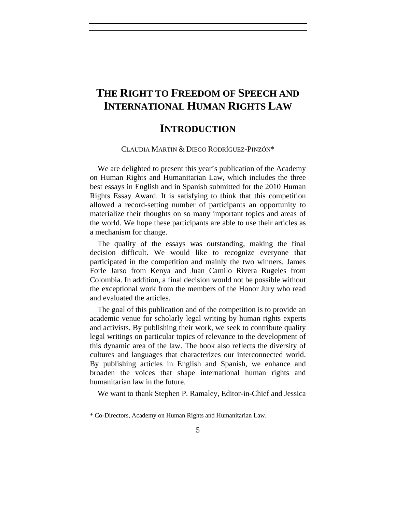## **THE RIGHT TO FREEDOM OF SPEECH AND INTERNATIONAL HUMAN RIGHTS LAW**

### **INTRODUCTION**

CLAUDIA MARTIN & DIEGO RODRÍGUEZ-PINZÓN\*

We are delighted to present this year's publication of the Academy on Human Rights and Humanitarian Law, which includes the three best essays in English and in Spanish submitted for the 2010 Human Rights Essay Award. It is satisfying to think that this competition allowed a record-setting number of participants an opportunity to materialize their thoughts on so many important topics and areas of the world. We hope these participants are able to use their articles as a mechanism for change.

The quality of the essays was outstanding, making the final decision difficult. We would like to recognize everyone that participated in the competition and mainly the two winners, James Forle Jarso from Kenya and Juan Camilo Rivera Rugeles from Colombia. In addition, a final decision would not be possible without the exceptional work from the members of the Honor Jury who read and evaluated the articles.

The goal of this publication and of the competition is to provide an academic venue for scholarly legal writing by human rights experts and activists. By publishing their work, we seek to contribute quality legal writings on particular topics of relevance to the development of this dynamic area of the law. The book also reflects the diversity of cultures and languages that characterizes our interconnected world. By publishing articles in English and Spanish, we enhance and broaden the voices that shape international human rights and humanitarian law in the future.

We want to thank Stephen P. Ramaley, Editor-in-Chief and Jessica

<sup>\*</sup> Co-Directors, Academy on Human Rights and Humanitarian Law.